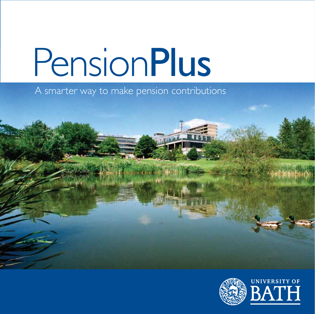A smarter way to make pension contributions



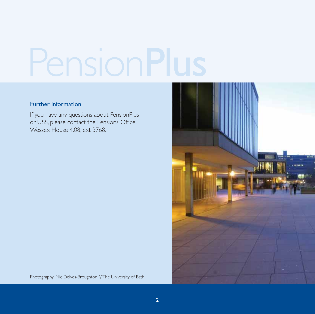#### Further information

If you have any questions about PensionPlus or USS, please contact the Pensions Office, Wessex House 4.08, ext 3768.



Photography: Nic Delves-Broughton ©The University of Bath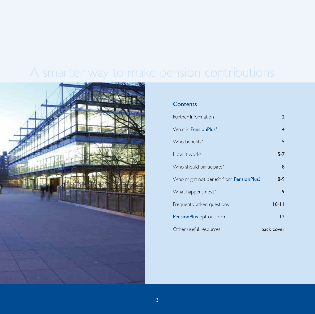

### **Contents**

| Further Information                             | $\mathbf{2}$            |
|-------------------------------------------------|-------------------------|
| What is <b>PensionPlus</b> ?                    | $\overline{\mathbf{4}}$ |
| Who benefits?                                   | 5                       |
| How it works                                    | $5 - 7$                 |
| Who should participate?                         | 8                       |
| Who might not benefit from <b>PensionPlus</b> ? | $8-9$                   |
| What happens next?                              | 9                       |
| Frequently asked questions                      | $10 - 11$               |
| PensionPlus opt out form                        | $\overline{2}$          |
| Other useful resources                          | back cover              |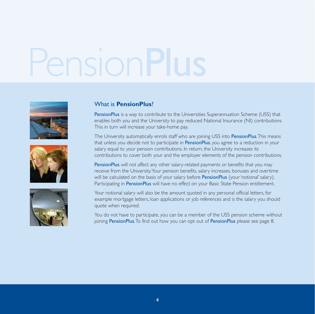





#### What is **PensionPlus**?

PensionPlus is a way to contribute to the Universities Superannuation Scheme (USS) that enables both you and the University to pay reduced National Insurance (NI) contributions. This in turn will increase your take-home pay.

The University automatically enrols staff who are joining USS into **PensionPlus**. This means that unless you decide not to participate in PensionPlus, you agree to a reduction in your salary equal to your pension contributions. In return, the University increases its contributions to cover both your and the employer elements of the pension contributions.

PensionPlus will not affect any other salary-related payments or benefits that you may receive from the University.Your pension benefits, salary increases, bonuses and overtime will be calculated on the basis of your salary before **PensionPlus** (your 'notional' salary). Participating in PensionPlus will have no effect on your Basic State Pension entitlement.

Your notional salary will also be the amount quoted in any personal official letters, for example mortgage letters, loan applications or job references and is the salary you should quote when required.

You do not have to participate, you can be a member of the USS pension scheme without joining PensionPlus.To find out how you can opt out of PensionPlus please see page 8.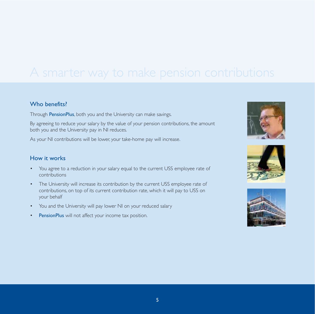#### Who benefits<sup>?</sup>

Through PensionPlus, both you and the University can make savings.

By agreeing to reduce your salary by the value of your pension contributions, the amount both you and the University pay in NI reduces.

As your NI contributions will be lower, your take-home pay will increase.

#### How it works

- You agree to a reduction in your salary equal to the current USS employee rate of contributions
- The University will increase its contribution by the current USS employee rate of contributions, on top of its current contribution rate, which it will pay to USS on your behalf
- You and the University will pay lower NI on your reduced salary
- PensionPlus will not affect your income tax position.





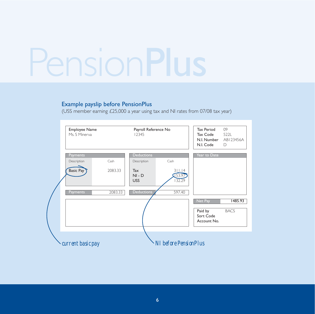#### Example payslip before PensionPlus

(USS member earning £25,000 a year using tax and NI rates from 07/08 tax year)

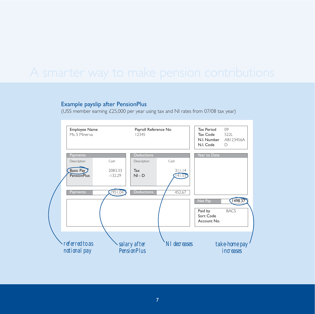#### Example payslip after PensionPlus

(USS member earning £25,000 per year using tax and NI rates from 07/08 tax year)

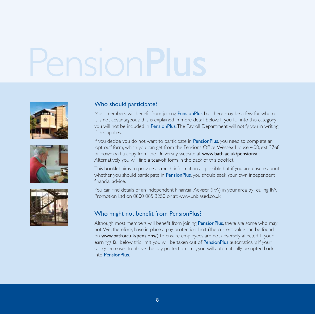





#### Who should participate?

Most members will benefit from joining PensionPlus but there may be a few for whom it is not advantageous; this is explained in more detail below. If you fall into this category, you will not be included in **PensionPlus.**The Payroll Department will notify you in writing if this applies.

If you decide you do not want to participate in **PensionPlus**, you need to complete an 'opt out' form, which you can get from the Pensions Office,Wessex House 4.08, ext 3768, or download a copy from the University website at www.bath.ac.uk/pensions/. Alternatively you will find a tear-off form in the back of this booklet.

This booklet aims to provide as much information as possible but if you are unsure about whether you should participate in **PensionPlus**, you should seek your own independent financial advice.

You can find details of an Independent Financial Adviser (IFA) in your area by calling IFA Promotion Ltd on 0800 085 3250 or at: www.unbiased.co.uk

#### Who might not benefit from PensionPlus?

Although most members will benefit from joining PensionPlus, there are some who may not.We, therefore, have in place a pay protection limit (the current value can be found on www.bath.ac.uk/pensions/) to ensure employees are not adversely affected. If your earnings fall below this limit you will be taken out of PensionPlus automatically. If your salary increases to above the pay protection limit, you will automatically be opted back into PensionPlus.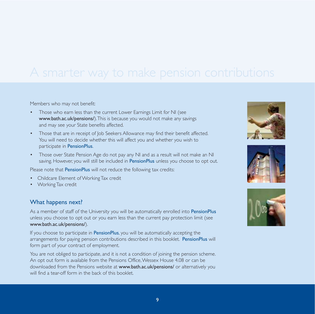Members who may not benefit:

- Those who earn less than the current Lower Earnings Limit for NI (see www.bath.ac.uk/pensions/).This is because you would not make any savings and may see your State benefits affected.
- Those that are in receipt of Job Seekers Allowance may find their benefit affected. You will need to decide whether this will affect you and whether you wish to participate in PensionPlus.
- Those over State Pension Age do not pay any NI and as a result will not make an NI saving. However, you will still be included in PensionPlus unless you choose to opt out.

Please note that **PensionPlus** will not reduce the following tax credits:

- Childcare Element of Working Tax credit
- Working Tax credit

#### What happens next?

As a member of staff of the University you will be automatically enrolled into PensionPlus unless you choose to opt out or you earn less than the current pay protection limit (see www.bath.ac.uk/pensions/).

If you choose to participate in **PensionPlus**, you will be automatically accepting the arrangements for paying pension contributions described in this booklet. PensionPlus will form part of your contract of employment.

You are not obliged to participate, and it is not a condition of joining the pension scheme. An opt out form is available from the Pensions Office,Wessex House 4.08 or can be downloaded from the Pensions website at **www.bath.ac.uk/pensions/** or alternatively you will find a tear-off form in the back of this booklet.





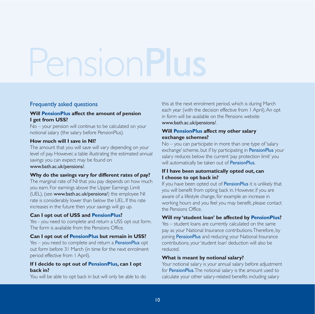#### Frequently asked questions

#### **Will PensionPlus affect the amount of pension I get from USS?**

No – your pension will continue to be calculated on your notional salary (the salary before PensionPlus).

#### **How much will I save in NI?**

The amount that you will save will vary depending on your level of pay. However, a table illustrating the estimated annual savings you can expect may be found on www.bath.ac.uk/pensions/.

#### **Why do the savings vary for different rates of pay?**

The marginal rate of NI that you pay depends on how much you earn. For earnings above the Upper Earnings Limit (UEL), (see www.bath.ac.uk/pensions/) the employee NI rate is considerably lower than below the UEL. If this rate increases in the future then your savings will go up.

#### **Can I opt out of USS and PensionPlus?**

Yes - you need to complete and return a USS opt out form. The form is available from the Pensions Office.

#### **Can I opt out of PensionPlus but remain in USS?**

 $Yes - you need to complete and return a **PensionPlus** opt$ out form before 31 March (in time for the next enrolment period effective from 1 April).

#### **If I decide to opt out of PensionPlus, can I opt back in?**

You will be able to opt back in but will only be able to do

this at the next enrolment period, which is during March each year (with the decision effective from 1 April).An opt in form will be available on the Pensions website www.bath.ac.uk/pensions/.

#### **Will PensionPlus affect my other salary exchange schemes?**

No – you can participate in more than one type of 'salary exchange' scheme, but if by participating in **PensionPlus** your salary reduces below the current 'pay protection limit' you will automatically be taken out of **PensionPlus**.

#### **If I have been automatically opted out, can I choose to opt back in?**

If you have been opted out of **PensionPlus** it is unlikely that you will benefit from opting back in. However, if you are aware of a lifestyle change, for example an increase in working hours and you feel you may benefit, please contact the Pensions Office.

#### **Will my 'student loan' be affected by PensionPlus?**

Yes – student loans are currently calculated on the same pay as your National Insurance contributions.Therefore, by joining **PensionPlus** and reducing your National Insurance contributions, your 'student loan' deduction will also be reduced.

#### **What is meant by notional salary?**

Your notional salary is your annual salary before adjustment for PensionPlus.The notional salary is the amount used to calculate your other salary-related benefits including salary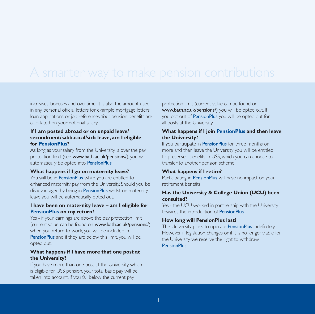increases, bonuses and overtime. It is also the amount used in any personal official letters for example mortgage letters, loan applications or job references.Your pension benefits are calculated on your notional salary.

#### **If I am posted abroad or on unpaid leave/ secondment/sabbatical/sick leave, am I eligible for PensionPlus?**

As long as your salary from the University is over the pay protection limit (see www.bath.ac.uk/pensions/), you will automatically be opted into PensionPlus.

#### **What happens if I go on maternity leave?**

You will be in PensionPlus while you are entitled to enhanced maternity pay from the University. Should you be disadvantaged by being in **PensionPlus** whilst on maternity leave you will be automatically opted out.

#### **I have been on maternity leave – am I eligible for PensionPlus on my return?**

Yes - if your earnings are above the pay protection limit (current value can be found on www.bath.ac.uk/pensions/) when you return to work, you will be included in **PensionPlus** and if they are below this limit, you will be opted out.

#### **What happens if I have more that one post at the University?**

If you have more than one post at the University, which is eligible for USS pension, your total basic pay will be taken into account. If you fall below the current pay

protection limit (current value can be found on www.bath.ac.uk/pensions/) you will be opted out. If you opt out of **PensionPlus** you will be opted out for all posts at the University.

#### **What happens if I join PensionPlus and then leave the University?**

If you participate in **PensionPlus** for three months or more and then leave the University you will be entitled to preserved benefits in USS, which you can choose to transfer to another pension scheme.

#### **What happens if I retire?**

Participating in **PensionPlus** will have no impact on your retirement benefits.

#### **Has the University & College Union (UCU) been consulted?**

Yes - the UCU worked in partnership with the University towards the introduction of PensionPlus.

#### **How long will PensionPlus last?**

The University plans to operate **PensionPlus** indefinitely. However, if legislation changes or if it is no longer viable for the University, we reserve the right to withdraw **PensionPlus.**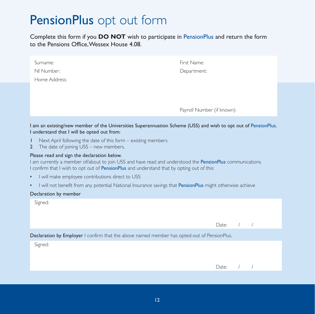### PensionPlus opt out form

Complete this form if you **DO NOT** wish to participate in PensionPlus and return the form to the Pensions Office,Wessex House 4.08.

| Surname:<br>NI Number:<br>Home Address:                                                                                                                                                                                                                | First Name:<br>Department: |  |  |  |
|--------------------------------------------------------------------------------------------------------------------------------------------------------------------------------------------------------------------------------------------------------|----------------------------|--|--|--|
|                                                                                                                                                                                                                                                        | Payroll Number (if known): |  |  |  |
| I am an existing/new member of the Universities Superannuation Scheme (USS) and wish to opt out of PensionPlus.<br>I understand that I will be opted out from:                                                                                         |                            |  |  |  |
| I.<br>Next April following the date of this form $-$ existing members<br>The date of joining USS – new members.<br>$\overline{2}$                                                                                                                      |                            |  |  |  |
| Please read and sign the declaration below.<br>I am currently a member of/about to join USS and have read and understood the PensionPlus communications.<br>I confirm that I wish to opt out of PensionPlus and understand that by opting out of this: |                            |  |  |  |
| I will make employee contributions direct to USS<br>$\bullet$                                                                                                                                                                                          |                            |  |  |  |
| I will not benefit from any potential National Insurance savings that PensionPlus might otherwise achieve<br>$\bullet$                                                                                                                                 |                            |  |  |  |
| Declaration by member                                                                                                                                                                                                                                  |                            |  |  |  |
| Signed:                                                                                                                                                                                                                                                |                            |  |  |  |

|                                                                                             | Date: $/$ / |  |
|---------------------------------------------------------------------------------------------|-------------|--|
| Declaration by Employer I confirm that the above named member has opted-out of PensionPlus. |             |  |
| Signed:                                                                                     |             |  |
|                                                                                             |             |  |
|                                                                                             | Date: $/$ / |  |